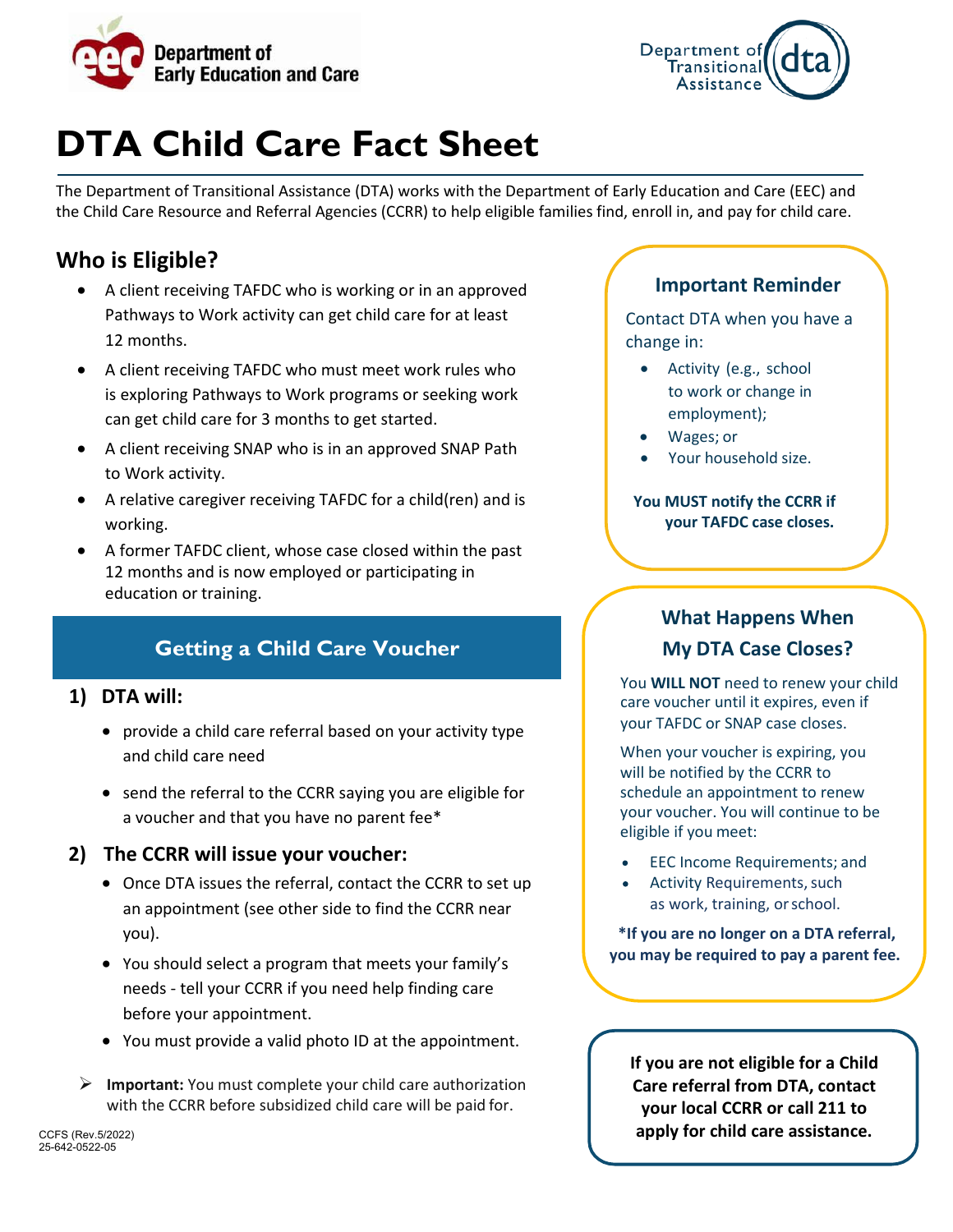



## **DTA Child Care Fact Sheet**

The Department of Transitional Assistance (DTA) works with the Department of Early Education and Care (EEC) and the Child Care Resource and Referral Agencies (CCRR) to help eligible families find, enroll in, and pay for child care.

## **Who is Eligible?**

- A client receiving TAFDC who is working or in an approved Pathways to Work activity can get child care for at least 12 months.
- A client receiving TAFDC who must meet work rules who is exploring Pathways to Work programs or seeking work can get child care for 3 months to get started.
- A client receiving SNAP who is in an approved SNAP Path to Work activity.
- A relative caregiver receiving TAFDC for a child(ren) and is working.
- A former TAFDC client, whose case closed within the past 12 months and is now employed or participating in education or training.

## **Getting a Child Care Voucher**

#### **1) DTA will:**

- provide a child care referral based on your activity type and child care need
- send the referral to the CCRR saying you are eligible for a voucher and that you have no parent fee\*

#### **2) The CCRR will issue your voucher:**

- Once DTA issues the referral, contact the CCRR to set up an appointment (see other side to find the CCRR near you).
- You should select a program that meets your family's needs - tell your CCRR if you need help finding care before your appointment.
- You must provide a valid photo ID at the appointment.
- **Important:** You must complete your child care authorization with the CCRR before subsidized child care will be paid for.

### **Important Reminder**

Contact DTA when you have a change in:

- Activity (e.g., school to work or change in employment);
- Wages; or
- Your household size.

#### **You MUST notify the CCRR if your TAFDC case closes.**

## **What Happens When My DTA Case Closes?**

You **WILL NOT** need to renew your child care voucher until it expires, even if your TAFDC or SNAP case closes.

When your voucher is expiring, you will be notified by the CCRR to schedule an appointment to renew your voucher. You will continue to be eligible if you meet:

- EEC Income Requirements; and
- Activity Requirements, such as work, training, orschool.

**\*If you are no longer on a DTA referral, you may be required to pay a parent fee.**

**If you are not eligible for a Child Care referral from DTA, contact your local CCRR or call 211 to apply for child care assistance.**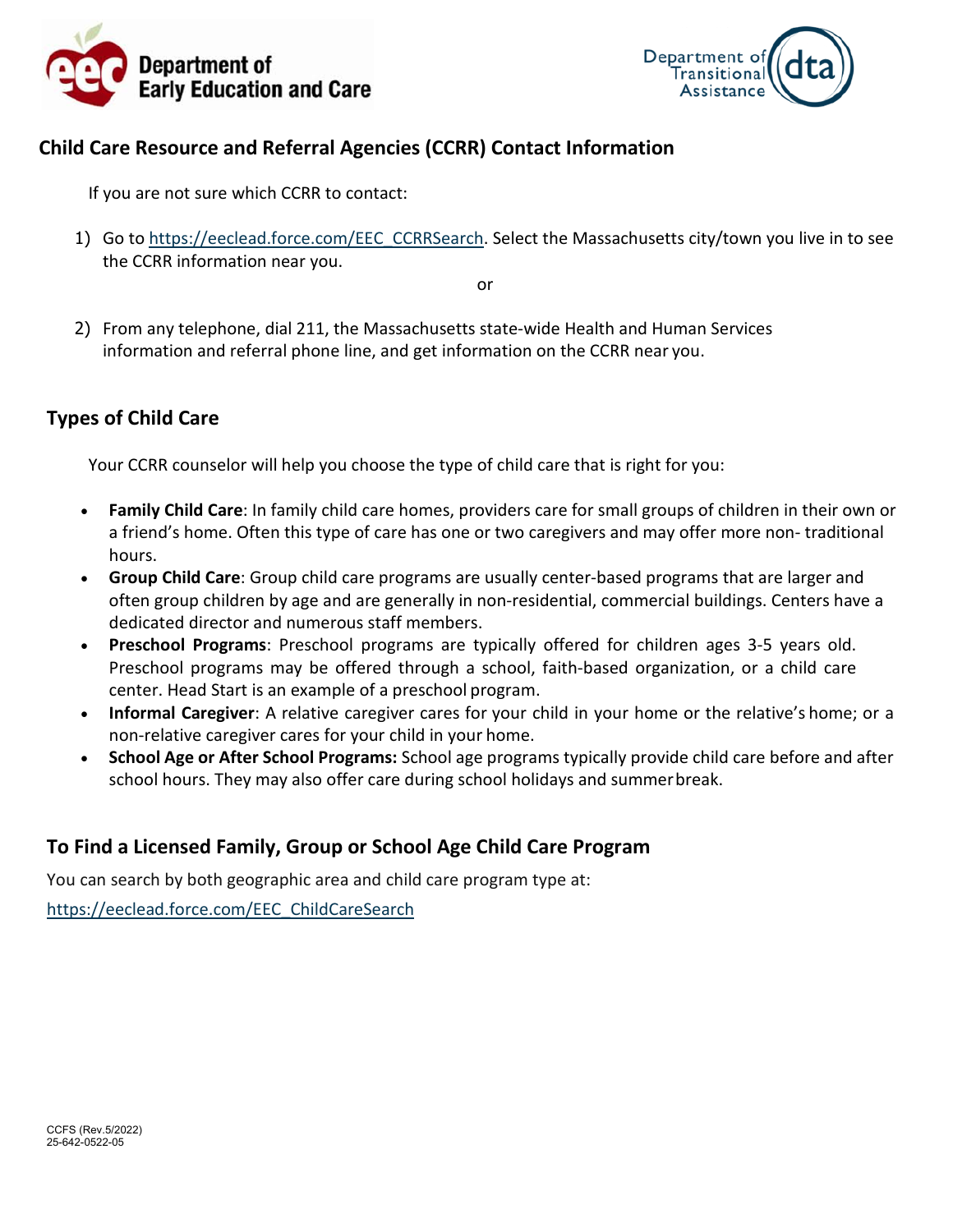



## **Child Care Resource and Referral Agencies (CCRR) Contact Information**

If you are not sure which CCRR to contact:

1) Go to [https://eeclead.force.com/EEC\\_CCRRSearch.](https://eeclead.force.com/EEC_CCRRSearch) Select the Massachusetts city/town you live in to see the CCRR information near you.

or

2) From any telephone, dial 211, the Massachusetts state-wide Health and Human Services information and referral phone line, and get information on the CCRR near you.

## **Types of Child Care**

Your CCRR counselor will help you choose the type of child care that is right for you:

- **Family Child Care**: In family child care homes, providers care for small groups of children in their own or a friend's home. Often this type of care has one or two caregivers and may offer more non- traditional hours.
- **Group Child Care**: Group child care programs are usually center-based programs that are larger and often group children by age and are generally in non-residential, commercial buildings. Centers have a dedicated director and numerous staff members.
- **Preschool Programs**: Preschool programs are typically offered for children ages 3-5 years old. Preschool programs may be offered through a school, faith-based organization, or a child care center. Head Start is an example of a preschool program.
- **Informal Caregiver**: A relative caregiver cares for your child in your home or the relative's home; or a non-relative caregiver cares for your child in your home.
- **School Age or After School Programs:** School age programs typically provide child care before and after school hours. They may also offer care during school holidays and summerbreak.

## **To Find a Licensed Family, Group or School Age Child Care Program**

You can search by both geographic area and child care program type at:

[https://eeclead.force.com/EEC\\_ChildCareSearch](https://eeclead.force.com/EEC_ChildCareSearch)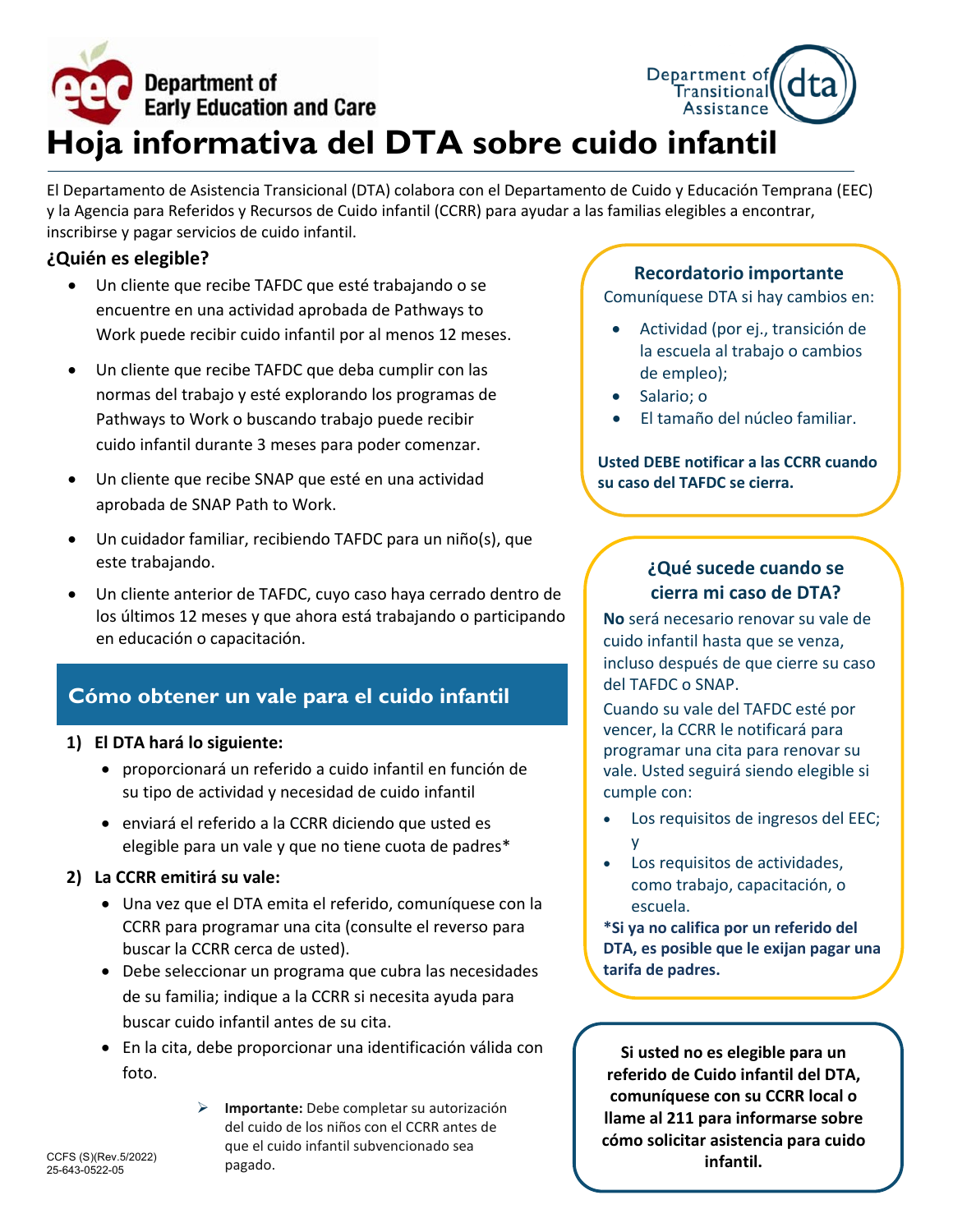

El Departamento de Asistencia Transicional (DTA) colabora con el Departamento de Cuido y Educación Temprana (EEC) y la Agencia para Referidos y Recursos de Cuido infantil (CCRR) para ayudar a las familias elegibles a encontrar, inscribirse y pagar servicios de cuido infantil.

#### **¿Quién es elegible?**

- Un cliente que recibe TAFDC que esté trabajando o se encuentre en una actividad aprobada de Pathways to Work puede recibir cuido infantil por al menos 12 meses.
- Un cliente que recibe TAFDC que deba cumplir con las normas del trabajo y esté explorando los programas de Pathways to Work o buscando trabajo puede recibir cuido infantil durante 3 meses para poder comenzar.
- Un cliente que recibe SNAP que esté en una actividad aprobada de SNAP Path to Work.
- Un cuidador familiar, recibiendo TAFDC para un niño(s), que este trabajando.
- Un cliente anterior de TAFDC, cuyo caso haya cerrado dentro de los últimos 12 meses y que ahora está trabajando o participando en educación o capacitación.

## **Cómo obtener un vale para el cuido infantil**

#### **1) El DTA hará lo siguiente:**

- proporcionará un referido a cuido infantil en función de su tipo de actividad y necesidad de cuido infantil
- enviará el referido a la CCRR diciendo que usted es elegible para un vale y que no tiene cuota de padres\*

#### **2) La CCRR emitirá su vale:**

- Una vez que el DTA emita el referido, comuníquese con la CCRR para programar una cita (consulte el reverso para buscar la CCRR cerca de usted).
- Debe seleccionar un programa que cubra las necesidades de su familia; indique a la CCRR si necesita ayuda para buscar cuido infantil antes de su cita.
- En la cita, debe proporcionar una identificación válida con foto.

pagado.

 **Importante:** Debe completar su autorización del cuido de los niños con el CCRR antes de

que el cuido infantil subvencionado sea

CCFS (S)(Rev.5/2022) 25-643-0522-05

# **tarifa de padres.**

**Si usted no es elegible para un referido de Cuido infantil del DTA, comuníquese con su CCRR local o llame al 211 para informarse sobre cómo solicitar asistencia para cuido infantil.**

## **Recordatorio importante**

Comuníquese DTA si hay cambios en:

- Actividad (por ej., transición de la escuela al trabajo o cambios de empleo);
- Salario; o
- El tamaño del núcleo familiar.

#### **Usted DEBE notificar a las CCRR cuando su caso del TAFDC se cierra.**

## **¿Qué sucede cuando se cierra mi caso de DTA?**

**No** será necesario renovar su vale de cuido infantil hasta que se venza, incluso después de que cierre su caso del TAFDC o SNAP.

Cuando su vale del TAFDC esté por vencer, la CCRR le notificará para programar una cita para renovar su vale. Usted seguirá siendo elegible si cumple con:

- Los requisitos de ingresos del EEC; y
- Los requisitos de actividades, como trabajo, capacitación, o escuela.

**\*Si ya no califica por un referido del DTA, es posible que le exijan pagar una**